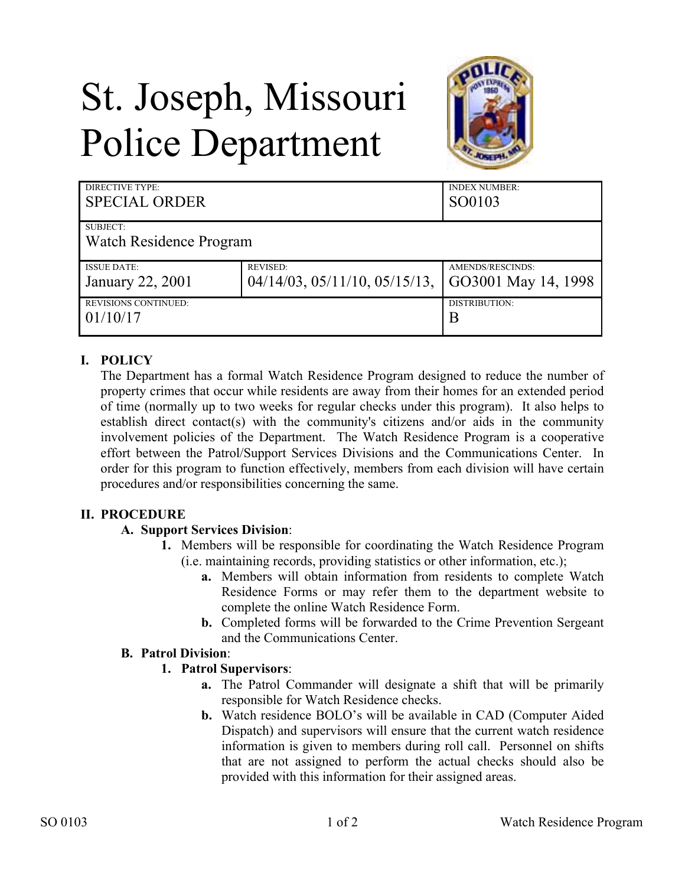# St. Joseph, Missouri Police Department



| DIRECTIVE TYPE:<br><b>SPECIAL ORDER</b> |                                        | <b>INDEX NUMBER:</b><br>SO0103 |
|-----------------------------------------|----------------------------------------|--------------------------------|
| SUBJECT:                                |                                        |                                |
| Watch Residence Program                 |                                        |                                |
| <b>ISSUE DATE:</b>                      | <b>REVISED:</b>                        | AMENDS/RESCINDS:               |
| January 22, 2001                        | $04/14/03$ , $05/11/10$ , $05/15/13$ , | GO3001 May 14, 1998            |
| <b>REVISIONS CONTINUED:</b>             |                                        | <b>DISTRIBUTION:</b>           |
| 01/10/17                                |                                        | B                              |

## **I. POLICY**

The Department has a formal Watch Residence Program designed to reduce the number of property crimes that occur while residents are away from their homes for an extended period of time (normally up to two weeks for regular checks under this program). It also helps to establish direct contact(s) with the community's citizens and/or aids in the community involvement policies of the Department. The Watch Residence Program is a cooperative effort between the Patrol/Support Services Divisions and the Communications Center. In order for this program to function effectively, members from each division will have certain procedures and/or responsibilities concerning the same.

#### **II. PROCEDURE**

#### **A. Support Services Division**:

- **1.** Members will be responsible for coordinating the Watch Residence Program (i.e. maintaining records, providing statistics or other information, etc.);
	- **a.** Members will obtain information from residents to complete Watch Residence Forms or may refer them to the department website to complete the online Watch Residence Form.
	- **b.** Completed forms will be forwarded to the Crime Prevention Sergeant and the Communications Center.

#### **B. Patrol Division**:

#### **1. Patrol Supervisors**:

- **a.** The Patrol Commander will designate a shift that will be primarily responsible for Watch Residence checks.
- **b.** Watch residence BOLO's will be available in CAD (Computer Aided Dispatch) and supervisors will ensure that the current watch residence information is given to members during roll call. Personnel on shifts that are not assigned to perform the actual checks should also be provided with this information for their assigned areas.